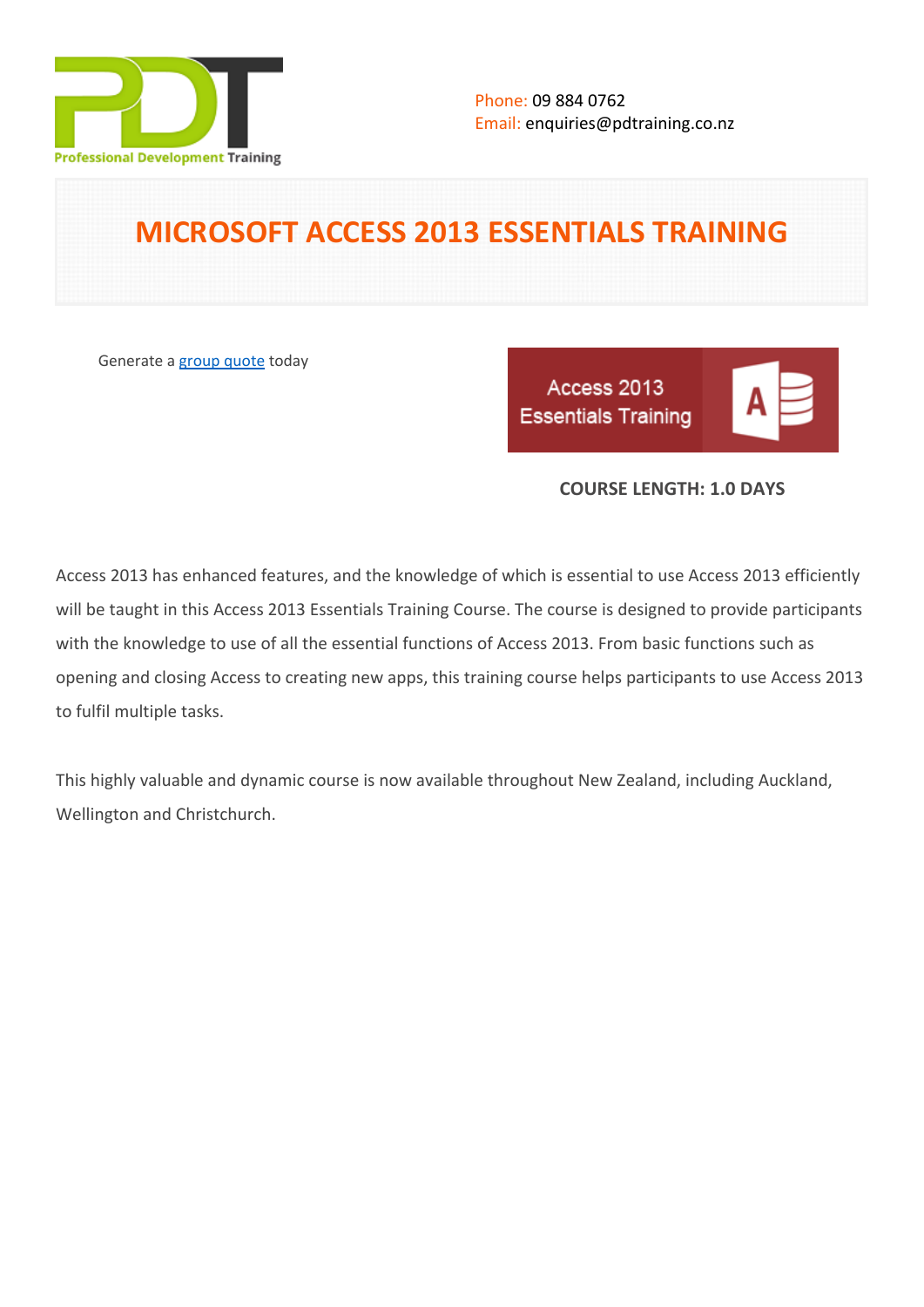

# **MICROSOFT ACCESS 2013 ESSENTIALS TRAINING**

Generate a [group quote](https://pdtraining.co.nz/inhouse-training-quote?cse=500CTM) today

Access 2013 **Essentials Training** 

|--|--|--|

# **COURSE LENGTH: 1.0 DAYS**

Access 2013 has enhanced features, and the knowledge of which is essential to use Access 2013 efficiently will be taught in this Access 2013 Essentials Training Course. The course is designed to provide participants with the knowledge to use of all the essential functions of Access 2013. From basic functions such as opening and closing Access to creating new apps, this training course helps participants to use Access 2013 to fulfil multiple tasks.

This highly valuable and dynamic course is now available throughout New Zealand, including Auckland, Wellington and Christchurch.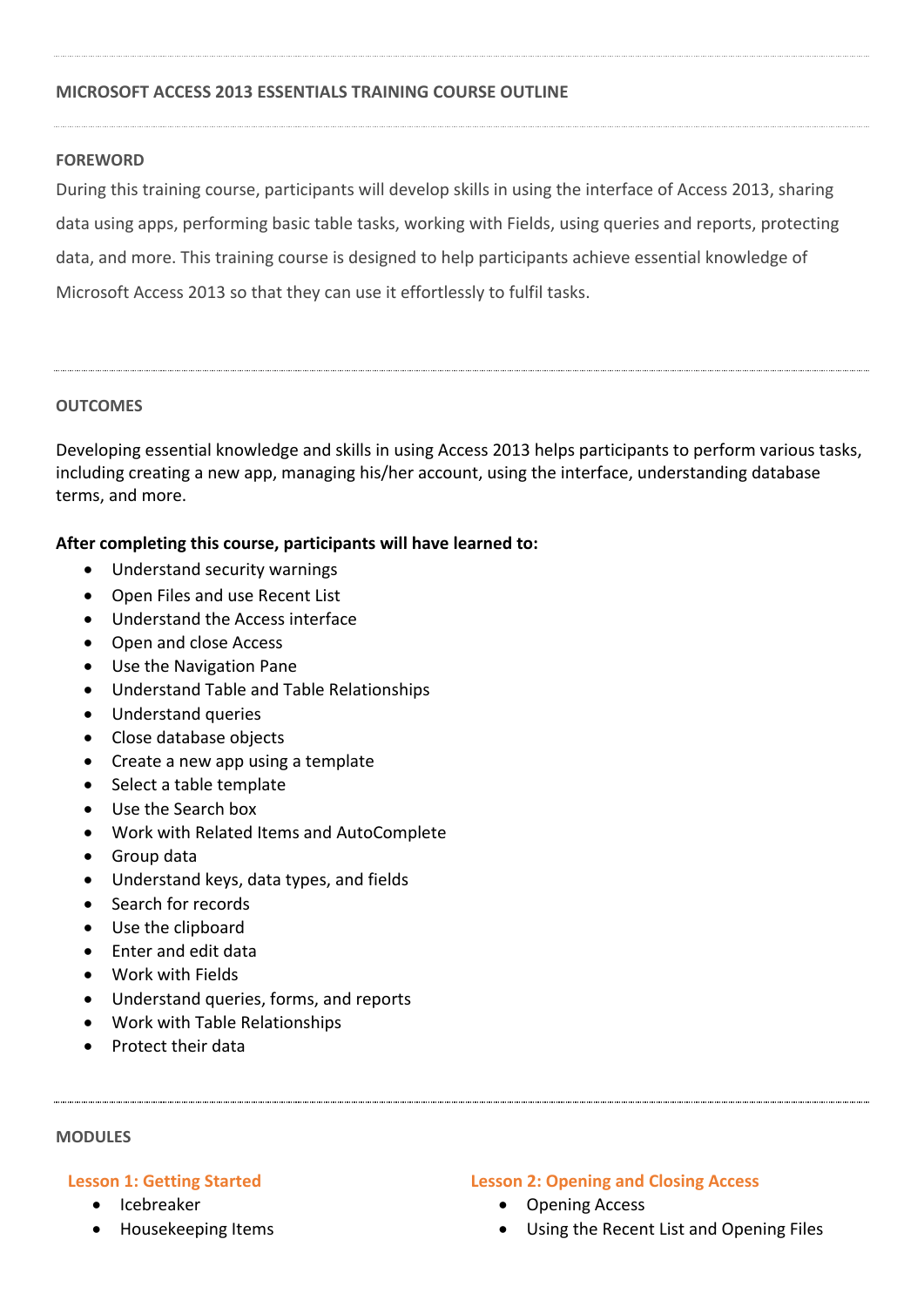## **MICROSOFT ACCESS 2013 ESSENTIALS TRAINING COURSE OUTLINE**

## **FOREWORD**

During this training course, participants will develop skills in using the interface of Access 2013, sharing data using apps, performing basic table tasks, working with Fields, using queries and reports, protecting data, and more. This training course is designed to help participants achieve essential knowledge of Microsoft Access 2013 so that they can use it effortlessly to fulfil tasks.

## **OUTCOMES**

Developing essential knowledge and skills in using Access 2013 helps participants to perform various tasks, including creating a new app, managing his/her account, using the interface, understanding database terms, and more.

# **After completing this course, participants will have learned to:**

- Understand security warnings
- Open Files and use Recent List
- Understand the Access interface
- Open and close Access
- Use the Navigation Pane
- Understand Table and Table Relationships
- Understand queries
- Close database objects
- Create a new app using a template
- Select a table template
- Use the Search box
- Work with Related Items and AutoComplete
- Group data
- Understand keys, data types, and fields
- Search for records
- Use the clipboard
- Enter and edit data
- Work with Fields
- Understand queries, forms, and reports
- Work with Table Relationships
- Protect their data

#### **MODULES**

## **Lesson 1: Getting Started**

- Icebreaker
- Housekeeping Items

#### **Lesson 2: Opening and Closing Access**

- Opening Access
- Using the Recent List and Opening Files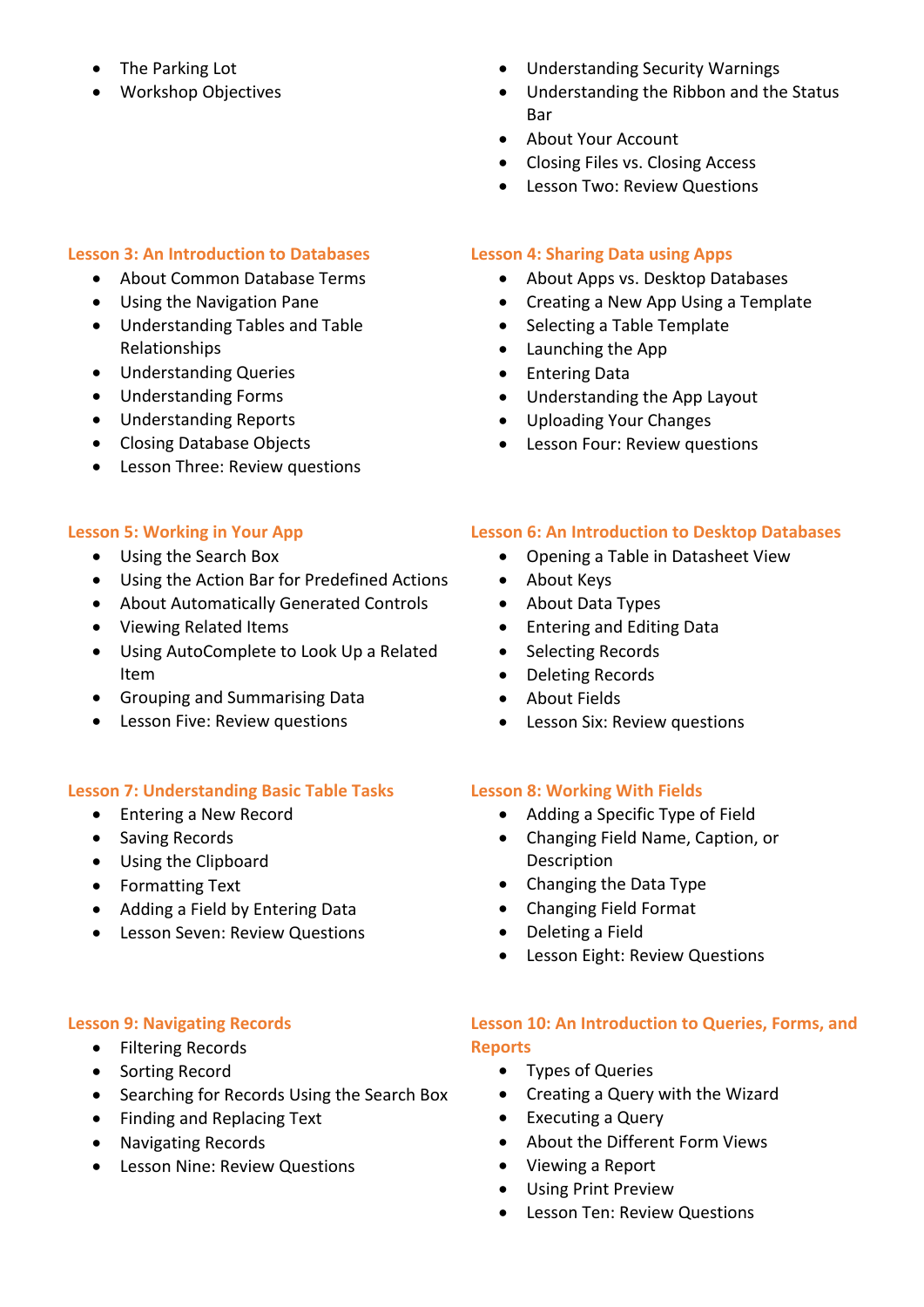- The Parking Lot
- Workshop Objectives

# **Lesson 3: An Introduction to Databases**

- About Common Database Terms
- Using the Navigation Pane
- Understanding Tables and Table Relationships
- Understanding Queries
- Understanding Forms
- Understanding Reports
- Closing Database Objects
- Lesson Three: Review questions

# **Lesson 5: Working in Your App**

- Using the Search Box
- Using the Action Bar for Predefined Actions
- About Automatically Generated Controls
- Viewing Related Items
- Using AutoComplete to Look Up a Related Item
- Grouping and Summarising Data
- Lesson Five: Review questions

## **Lesson 7: Understanding Basic Table Tasks**

- Entering a New Record
- Saving Records
- Using the Clipboard
- Formatting Text
- Adding a Field by Entering Data
- Lesson Seven: Review Questions

## **Lesson 9: Navigating Records**

- Filtering Records
- Sorting Record
- Searching for Records Using the Search Box
- Finding and Replacing Text
- Navigating Records
- **•** Lesson Nine: Review Questions
- Understanding Security Warnings
- Understanding the Ribbon and the Status **Bar**
- About Your Account
- Closing Files vs. Closing Access
- Lesson Two: Review Questions

# **Lesson 4: Sharing Data using Apps**

- About Apps vs. Desktop Databases
- Creating a New App Using a Template
- Selecting a Table Template
- Launching the App
- Entering Data
- Understanding the App Layout
- Uploading Your Changes
- Lesson Four: Review questions

# **Lesson 6: An Introduction to Desktop Databases**

- Opening a Table in Datasheet View
- About Keys
- About Data Types
- Entering and Editing Data
- Selecting Records
- Deleting Records
- About Fields
- Lesson Six: Review questions

## **Lesson 8: Working With Fields**

- Adding a Specific Type of Field
- Changing Field Name, Caption, or Description
- Changing the Data Type
- Changing Field Format
- Deleting a Field
- Lesson Eight: Review Questions

# **Lesson 10: An Introduction to Queries, Forms, and Reports**

- Types of Queries
- Creating a Query with the Wizard
- Executing a Query
- About the Different Form Views
- Viewing a Report
- Using Print Preview
- Lesson Ten: Review Questions